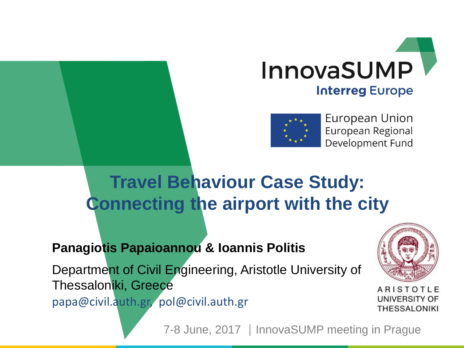



European Union European Regional Development Fund

### **Travel Behaviour Case Study: Connecting the airport with the city**

#### **Panagiotis Papaioannou & Ioannis Politis**

Department of Civil Engineering, Aristotle University of Thessaloniki, Greece papa@civil.auth.gr, pol@civil.auth.gr



ARISTOTLE UNIVERSITY OF **THESSALONIKI** 

7-8 June, 2017 | InnovaSUMP meeting in Prague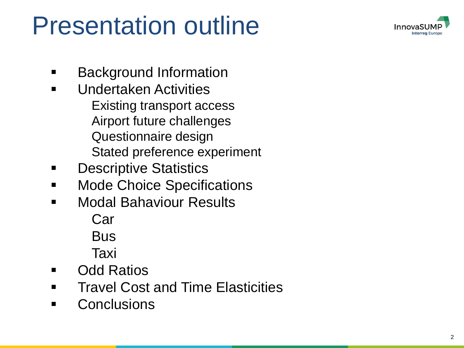

### Presentation outline

- Background Information
- Undertaken Activities Existing transport access Airport future challenges Questionnaire design Stated preference experiment
- Descriptive Statistics
- Mode Choice Specifications
- Modal Bahaviour Results Car Bus Taxi
- Odd Ratios
- Travel Cost and Time Elasticities
- Conclusions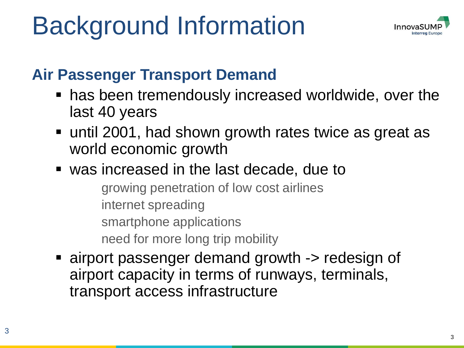## Background Information



#### **Air Passenger Transport Demand**

- has been tremendously increased worldwide, over the last 40 years
- until 2001, had shown growth rates twice as great as world economic growth
- was increased in the last decade, due to

growing penetration of low cost airlines internet spreading smartphone applications need for more long trip mobility

■ airport passenger demand growth -> redesign of airport capacity in terms of runways, terminals, transport access infrastructure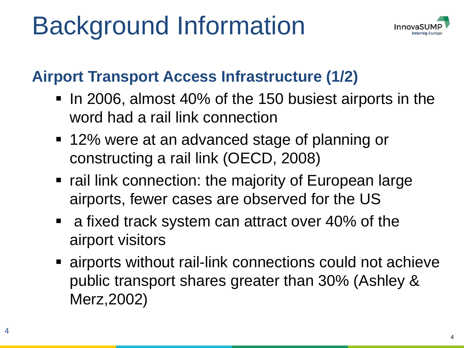## Background Information



#### **Airport Transport Access Infrastructure (1/2)**

- In 2006, almost 40% of the 150 busiest airports in the word had a rail link connection
- 12% were at an advanced stage of planning or constructing a rail link (OECD, 2008)
- rail link connection: the majority of European large airports, fewer cases are observed for the US
- a fixed track system can attract over 40% of the airport visitors
- **Example 1** airports without rail-link connections could not achieve public transport shares greater than 30% (Ashley & Merz,2002)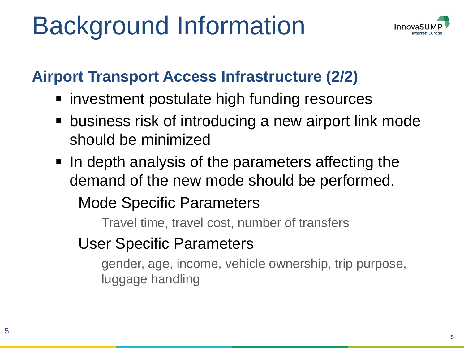## Background Information



#### **Airport Transport Access Infrastructure (2/2)**

- investment postulate high funding resources
- business risk of introducing a new airport link mode should be minimized
- In depth analysis of the parameters affecting the demand of the new mode should be performed.

#### Mode Specific Parameters

Travel time, travel cost, number of transfers

User Specific Parameters

gender, age, income, vehicle ownership, trip purpose, luggage handling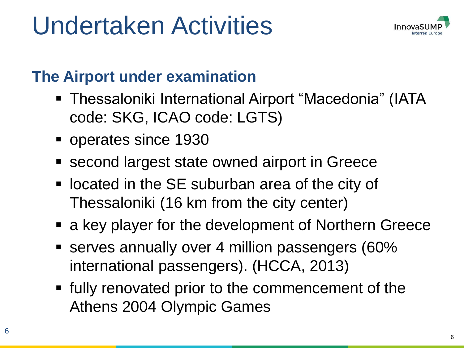

#### **The Airport under examination**

- Thessaloniki International Airport "Macedonia" (IATA code: SKG, ICAO code: LGTS)
- operates since 1930
- second largest state owned airport in Greece
- located in the SE suburban area of the city of Thessaloniki (16 km from the city center)
- a key player for the development of Northern Greece
- serves annually over 4 million passengers (60% international passengers). (HCCA, 2013)
- fully renovated prior to the commencement of the Athens 2004 Olympic Games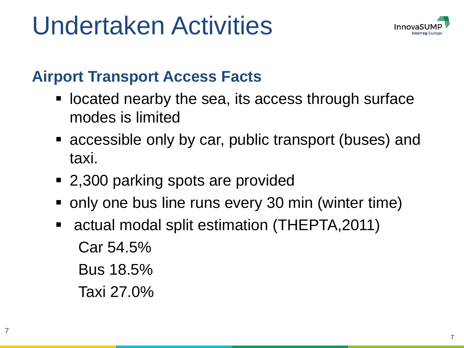

#### **Airport Transport Access Facts**

- located nearby the sea, its access through surface modes is limited
- accessible only by car, public transport (buses) and taxi.
- 2,300 parking spots are provided
- only one bus line runs every 30 min (winter time)
- actual modal split estimation (THEPTA, 2011) Car 54.5% Bus 18.5% Taxi 27.0%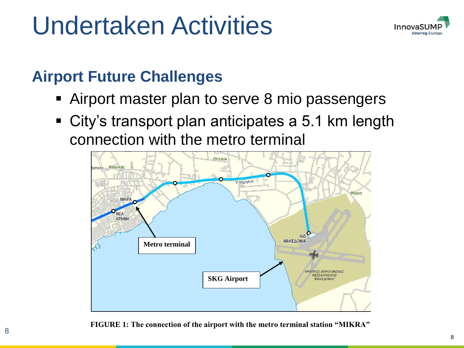

#### **Airport Future Challenges**

- Airport master plan to serve 8 mio passengers
- City's transport plan anticipates a 5.1 km length connection with the metro terminal



**FIGURE 1: The connection of the airport with the metro terminal station "MIKRA"**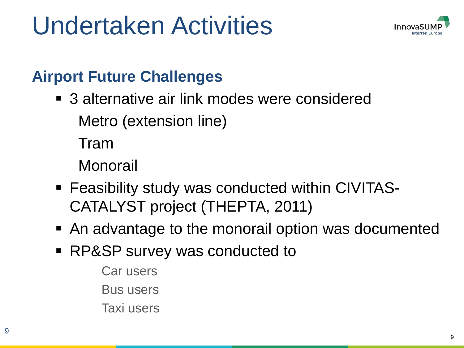

#### **Airport Future Challenges**

■ 3 alternative air link modes were considered Metro (extension line)

Tram

Monorail

- Feasibility study was conducted within CIVITAS-CATALYST project (THEPTA, 2011)
- An advantage to the monorail option was documented
- RP&SP survey was conducted to
	- Car users
	- Bus users
	- Taxi users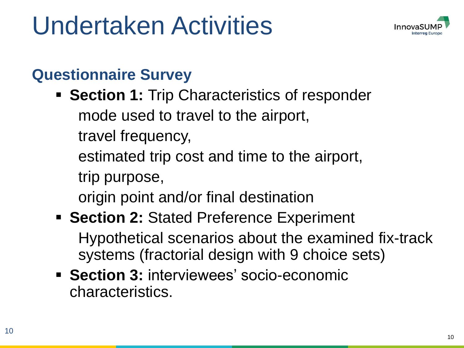

#### **Questionnaire Survey**

- **EXECTION 1: Trip Characteristics of responder** mode used to travel to the airport,
	- travel frequency,
	- estimated trip cost and time to the airport,
	- trip purpose,
	- origin point and/or final destination

#### **Experiment Figure 2: Stated Preference Experiment** Hypothetical scenarios about the examined fix-track systems (fractorial design with 9 choice sets)

**EXECTION 3: interviewees' socio-economic** characteristics.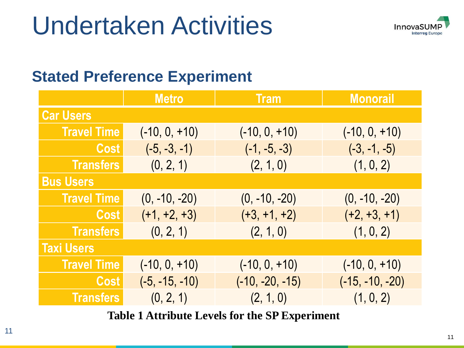

#### **Stated Preference Experiment**

|                    | <b>Metro</b>     | <b>Tram</b>       | <b>Monorail</b>   |  |  |  |  |  |
|--------------------|------------------|-------------------|-------------------|--|--|--|--|--|
| <b>Car Users</b>   |                  |                   |                   |  |  |  |  |  |
| <b>Travel Time</b> | $(-10, 0, +10)$  | $(-10, 0, +10)$   | $(-10, 0, +10)$   |  |  |  |  |  |
| Cost               | $(-5, -3, -1)$   | $(-1, -5, -3)$    | $(-3, -1, -5)$    |  |  |  |  |  |
| <b>Transfers</b>   | (0, 2, 1)        | (2, 1, 0)         | (1, 0, 2)         |  |  |  |  |  |
| <b>Bus Users</b>   |                  |                   |                   |  |  |  |  |  |
| <b>Travel Time</b> | $(0, -10, -20)$  | $(0, -10, -20)$   | $(0, -10, -20)$   |  |  |  |  |  |
| Cost               | $(+1, +2, +3)$   | $(+3, +1, +2)$    | $(+2, +3, +1)$    |  |  |  |  |  |
| <b>Transfers</b>   | (0, 2, 1)        | (2, 1, 0)         | (1, 0, 2)         |  |  |  |  |  |
| <b>Taxi Users</b>  |                  |                   |                   |  |  |  |  |  |
| <b>Travel Time</b> | $(-10, 0, +10)$  | $(-10, 0, +10)$   | $(-10, 0, +10)$   |  |  |  |  |  |
| Cost               | $(-5, -15, -10)$ | $(-10, -20, -15)$ | $(-15, -10, -20)$ |  |  |  |  |  |
| <b>Transfers</b>   | (0, 2, 1)        | (2, 1, 0)         | (1, 0, 2)         |  |  |  |  |  |

**Table 1 Attribute Levels for the SP Experiment**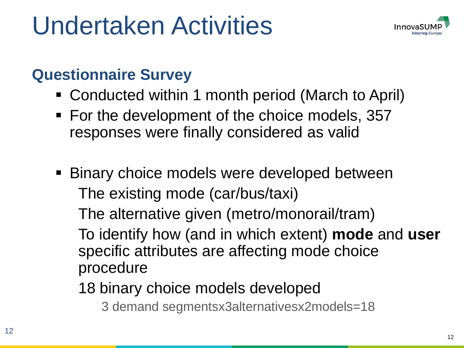

#### **Questionnaire Survey**

- Conducted within 1 month period (March to April)
- For the development of the choice models, 357 responses were finally considered as valid
- Binary choice models were developed between The existing mode (car/bus/taxi)

The alternative given (metro/monorail/tram)

To identify how (and in which extent) **mode** and **user**  specific attributes are affecting mode choice procedure

18 binary choice models developed

3 demand segmentsx3alternativesx2models=18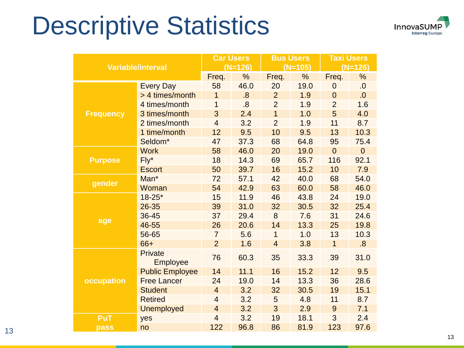### Descriptive Statistics



| <b>Variable/interval</b> |                        | <b>Car Users</b> |      | <b>Bus Users</b> |               | <b>Taxi Users</b> |             |  |
|--------------------------|------------------------|------------------|------|------------------|---------------|-------------------|-------------|--|
|                          |                        | $(N=126)$        |      | $(N=105)$        |               | $(N=126)$         |             |  |
|                          |                        | Freq.            | %    | Freq.            | $\frac{0}{0}$ | Freq.             | %           |  |
|                          | <b>Every Day</b>       | 58               | 46.0 | 20               | 19.0          | $\mathbf 0$       | 0.5         |  |
|                          | > 4 times/month        | $\mathbf{1}$     | 8.5  | $\overline{2}$   | 1.9           | $\overline{0}$    | .0          |  |
|                          | 4 times/month          | $\overline{1}$   | 8.5  | $\overline{2}$   | 1.9           | $\overline{2}$    | 1.6         |  |
| <b>Frequency</b>         | 3 times/month          | 3                | 2.4  | $\mathbf{1}$     | 1.0           | 5                 | 4.0         |  |
|                          | 2 times/month          | $\overline{4}$   | 3.2  | $\overline{2}$   | 1.9           | 11                | 8.7         |  |
|                          | 1 time/month           | 12               | 9.5  | 10               | 9.5           | 13                | 10.3        |  |
|                          | Seldom*                | 47               | 37.3 | 68               | 64.8          | 95                | 75.4        |  |
|                          | <b>Work</b>            | 58               | 46.0 | 20               | 19.0          | $\overline{0}$    | $\mathbf 0$ |  |
| <b>Purpose</b>           | $Fly^*$                | 18               | 14.3 | 69               | 65.7          | 116               | 92.1        |  |
|                          | <b>Escort</b>          | 50               | 39.7 | 16               | 15.2          | 10                | 7.9         |  |
| gender                   | Man*                   | 72               | 57.1 | 42               | 40.0          | 68                | 54.0        |  |
|                          | Woman                  | 54               | 42.9 | 63               | 60.0          | 58                | 46.0        |  |
| age                      | $18 - 25*$             | 15               | 11.9 | 46               | 43.8          | 24                | 19.0        |  |
|                          | 26-35                  | 39               | 31.0 | 32               | 30.5          | 32                | 25.4        |  |
|                          | 36-45                  | 37               | 29.4 | 8                | 7.6           | 31                | 24.6        |  |
|                          | 46-55                  | 26               | 20.6 | 14               | 13.3          | 25                | 19.8        |  |
|                          | 56-65                  | $\overline{7}$   | 5.6  | $\mathbf 1$      | 1.0           | 13                | 10.3        |  |
|                          | 66+                    | $\overline{2}$   | 1.6  | $\overline{4}$   | 3.8           | $\mathbf{1}$      | 8.5         |  |
|                          | Private<br>Employee    | 76               | 60.3 | 35               | 33.3          | 39                | 31.0        |  |
|                          | <b>Public Employee</b> | 14               | 11.1 | 16               | 15.2          | 12                | 9.5         |  |
| occupation               | <b>Free Lancer</b>     | 24               | 19.0 | 14               | 13.3          | 36                | 28.6        |  |
|                          | <b>Student</b>         | $\overline{4}$   | 3.2  | 32               | 30.5          | 19                | 15.1        |  |
|                          | <b>Retired</b>         | $\overline{4}$   | 3.2  | 5                | 4.8           | 11                | 8.7         |  |
|                          | <b>Unemployed</b>      | $\overline{4}$   | 3.2  | 3                | 2.9           | 9                 | 7.1         |  |
| PuT                      | yes                    | $\overline{4}$   | 3.2  | 19               | 18.1          | 3                 | 2.4         |  |
| pass                     | no                     | 122              | 96.8 | 86               | 81.9          | 123               | 97.6        |  |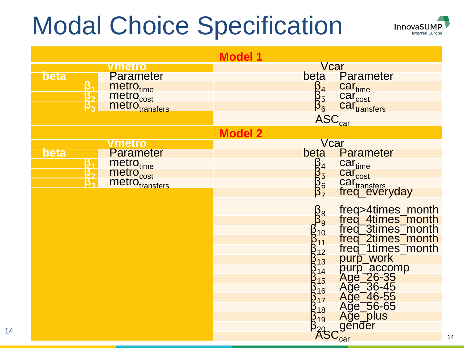### Modal Choice Specification



14

| <b>Model 1</b> |                 |                                                                              |                                 |                                                                                                                                                                                                                                                        |  |  |  |
|----------------|-----------------|------------------------------------------------------------------------------|---------------------------------|--------------------------------------------------------------------------------------------------------------------------------------------------------------------------------------------------------------------------------------------------------|--|--|--|
|                |                 | <u>vmetro</u>                                                                |                                 | Vcar                                                                                                                                                                                                                                                   |  |  |  |
| <b>beta</b>    |                 | <b>Parameter</b>                                                             | beta                            | Parameter                                                                                                                                                                                                                                              |  |  |  |
|                | $\frac{3}{3^2}$ | metro <sub>time</sub><br>metro <sub>cost</sub><br>metro <sub>transfers</sub> |                                 | car <sub>time</sub><br>car <sub>cost</sub><br>car <sub>transfers</sub>                                                                                                                                                                                 |  |  |  |
|                |                 |                                                                              |                                 |                                                                                                                                                                                                                                                        |  |  |  |
|                |                 |                                                                              |                                 |                                                                                                                                                                                                                                                        |  |  |  |
|                |                 |                                                                              |                                 | $\begin{array}{ccc}\n\beta_4 & \text{ca} \\ \beta_5 & \text{ca} \\ \beta_6 & \text{ca} \\ \text{ASC}_{\text{car}}\n\end{array}$                                                                                                                        |  |  |  |
|                |                 |                                                                              | <b>Model 2</b>                  |                                                                                                                                                                                                                                                        |  |  |  |
|                |                 | Vmetro                                                                       |                                 | Vcar                                                                                                                                                                                                                                                   |  |  |  |
| <b>beta</b>    |                 | <b>Parameter</b>                                                             | <b>beta</b>                     | <b>Parameter</b>                                                                                                                                                                                                                                       |  |  |  |
|                | $\frac{3}{3^2}$ |                                                                              |                                 |                                                                                                                                                                                                                                                        |  |  |  |
|                |                 |                                                                              |                                 |                                                                                                                                                                                                                                                        |  |  |  |
|                |                 | metro <sub>time</sub><br>metro <sub>cost</sub><br>metro <sub>transfers</sub> | B<br>B<br>B<br>B<br>B<br>B<br>7 | car <sub>time</sub><br>car <sub>cost</sub><br>car <sub>transfers</sub><br>freq_everyday                                                                                                                                                                |  |  |  |
|                |                 |                                                                              |                                 |                                                                                                                                                                                                                                                        |  |  |  |
|                |                 |                                                                              |                                 | freq>4times_month<br>freq_4times_month<br>freq_3times_month<br>freq_2times_month<br>freq_1times_month<br>purp_work<br>purp_accomp<br>Age_26-35<br>Age_36-45<br>Age_36-45<br>Age_36-45<br>Age_46-55<br>Age_56-65<br>Age_56-65<br>Age_56-65<br>Age_56-65 |  |  |  |
|                |                 |                                                                              | $\beta_9^8$                     |                                                                                                                                                                                                                                                        |  |  |  |
|                |                 |                                                                              |                                 |                                                                                                                                                                                                                                                        |  |  |  |
|                |                 |                                                                              |                                 |                                                                                                                                                                                                                                                        |  |  |  |
|                |                 |                                                                              |                                 |                                                                                                                                                                                                                                                        |  |  |  |
|                |                 |                                                                              |                                 |                                                                                                                                                                                                                                                        |  |  |  |
|                |                 |                                                                              |                                 |                                                                                                                                                                                                                                                        |  |  |  |
|                |                 |                                                                              |                                 |                                                                                                                                                                                                                                                        |  |  |  |
|                |                 |                                                                              |                                 |                                                                                                                                                                                                                                                        |  |  |  |
|                |                 |                                                                              |                                 |                                                                                                                                                                                                                                                        |  |  |  |
|                |                 |                                                                              |                                 |                                                                                                                                                                                                                                                        |  |  |  |
|                |                 |                                                                              |                                 |                                                                                                                                                                                                                                                        |  |  |  |
|                |                 |                                                                              |                                 | $\widehat{\text{ASC}}_{\text{car}}^{\bullet}$                                                                                                                                                                                                          |  |  |  |
|                |                 |                                                                              |                                 |                                                                                                                                                                                                                                                        |  |  |  |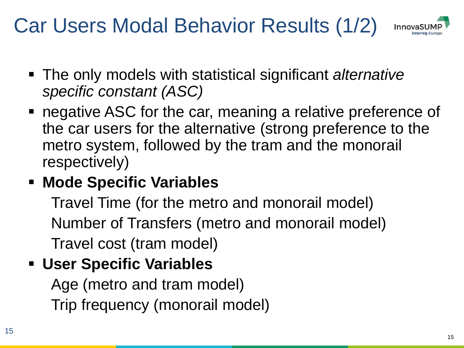### Car Users Modal Behavior Results (1/2)



- The only models with statistical significant *alternative specific constant (ASC)*
- negative ASC for the car, meaning a relative preference of the car users for the alternative (strong preference to the metro system, followed by the tram and the monorail respectively)

#### ▪ **Mode Specific Variables**

Travel Time (for the metro and monorail model) Number of Transfers (metro and monorail model) Travel cost (tram model)

#### ▪ **User Specific Variables**

Age (metro and tram model) Trip frequency (monorail model)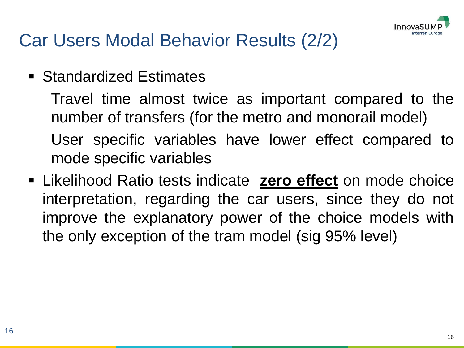

### Car Users Modal Behavior Results (2/2)

■ Standardized Estimates

Travel time almost twice as important compared to the number of transfers (for the metro and monorail model) User specific variables have lower effect compared to mode specific variables

▪ Likelihood Ratio tests indicate **zero effect** on mode choice interpretation, regarding the car users, since they do not improve the explanatory power of the choice models with the only exception of the tram model (sig 95% level)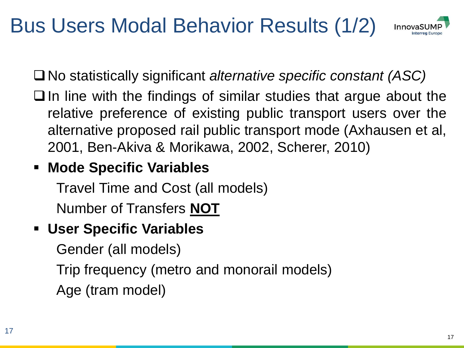### Bus Users Modal Behavior Results (1/2)



No statistically significant *alternative specific constant (ASC)*

 $\Box$  In line with the findings of similar studies that argue about the relative preference of existing public transport users over the alternative proposed rail public transport mode (Axhausen et al, 2001, Ben-Akiva & Morikawa, 2002, Scherer, 2010)

#### ▪ **Mode Specific Variables**

Travel Time and Cost (all models) Number of Transfers **NOT**

#### ▪ **User Specific Variables**

Gender (all models)

Trip frequency (metro and monorail models) Age (tram model)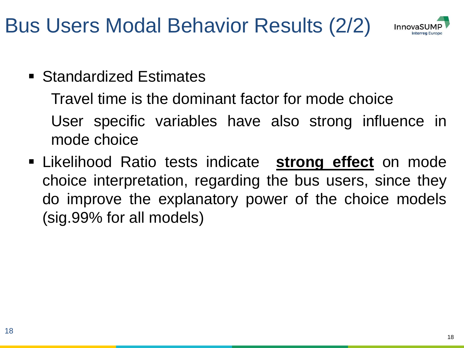Bus Users Modal Behavior Results (2/2)



■ Standardized Estimates

Travel time is the dominant factor for mode choice User specific variables have also strong influence in mode choice

▪ Likelihood Ratio tests indicate **strong effect** on mode choice interpretation, regarding the bus users, since they do improve the explanatory power of the choice models (sig.99% for all models)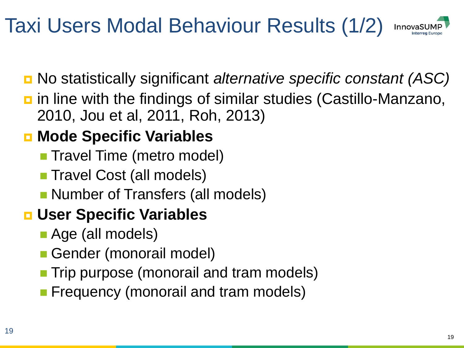### Taxi Users Modal Behaviour Results (1/2)



- No statistically significant *alternative specific constant (ASC)*
- $\blacksquare$  in line with the findings of similar studies (Castillo-Manzano, 2010, Jou et al, 2011, Roh, 2013)

### **E** Mode Specific Variables

- **Travel Time (metro model)**
- **Travel Cost (all models)**
- **Number of Transfers (all models)**

#### **User Specific Variables**

- Age (all models)
- Gender (monorail model)
- **Trip purpose (monorail and tram models)**
- **Filte Frequency (monorail and tram models)**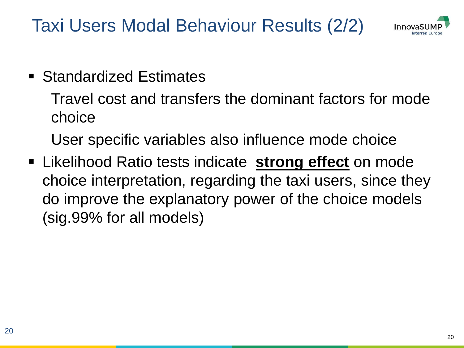Taxi Users Modal Behaviour Results (2/2)



#### ■ Standardized Estimates

Travel cost and transfers the dominant factors for mode choice

User specific variables also influence mode choice

**EXA** Likelihood Ratio tests indicate **strong effect** on mode choice interpretation, regarding the taxi users, since they do improve the explanatory power of the choice models (sig.99% for all models)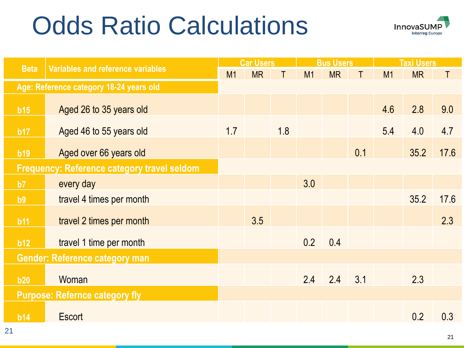## Odds Ratio Calculations



|                                                    |                                   | <b>Car Users</b> |           | <b>Bus Users</b> |     |           | <b>Taxi Users</b> |     |           |      |
|----------------------------------------------------|-----------------------------------|------------------|-----------|------------------|-----|-----------|-------------------|-----|-----------|------|
| <b>Beta</b>                                        | Variables and reference variables | M1               | <b>MR</b> |                  | M1  | <b>MR</b> | Τ                 | M1  | <b>MR</b> | T    |
| Age: Reference category 18-24 years old            |                                   |                  |           |                  |     |           |                   |     |           |      |
| b15                                                | Aged 26 to 35 years old           |                  |           |                  |     |           |                   | 4.6 | 2.8       | 9.0  |
| b17                                                | Aged 46 to 55 years old           | 1.7              |           | 1.8              |     |           |                   | 5.4 | 4.0       | 4.7  |
| b19                                                | Aged over 66 years old            |                  |           |                  |     |           | 0.1               |     | 35.2      | 17.6 |
| <b>Frequency: Reference category travel seldom</b> |                                   |                  |           |                  |     |           |                   |     |           |      |
| b7                                                 | every day                         |                  |           |                  | 3.0 |           |                   |     |           |      |
| b9                                                 | travel 4 times per month          |                  |           |                  |     |           |                   |     | 35.2      | 17.6 |
| b11                                                | travel 2 times per month          |                  | 3.5       |                  |     |           |                   |     |           | 2.3  |
| b12                                                | travel 1 time per month           |                  |           |                  | 0.2 | 0.4       |                   |     |           |      |
| <b>Gender: Reference category man</b>              |                                   |                  |           |                  |     |           |                   |     |           |      |
| b20                                                | Woman                             |                  |           |                  | 2.4 | 2.4       | 3.1               |     | 2.3       |      |
| <b>Purpose: Refernce category fly</b>              |                                   |                  |           |                  |     |           |                   |     |           |      |
| b14                                                | <b>Escort</b>                     |                  |           |                  |     |           |                   |     | 0.2       | 0.3  |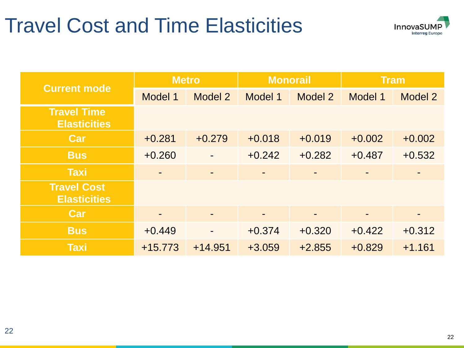### Travel Cost and Time Elasticities



|                                           | <b>Metro</b>             |           |          | <b>Monorail</b> | <b>Tram</b> |          |  |
|-------------------------------------------|--------------------------|-----------|----------|-----------------|-------------|----------|--|
| <b>Current mode</b>                       | Model 1                  | Model 2   | Model 1  | Model 2         | Model 1     | Model 2  |  |
| <b>Travel Time</b><br><b>Elasticities</b> |                          |           |          |                 |             |          |  |
| Car                                       | $+0.281$                 | $+0.279$  | $+0.018$ | $+0.019$        | $+0.002$    | $+0.002$ |  |
| <b>Bus</b>                                | $+0.260$                 |           | $+0.242$ | $+0.282$        | $+0.487$    | $+0.532$ |  |
| <b>Taxi</b>                               | $\overline{\phantom{a}}$ |           | ۰        |                 |             |          |  |
| <b>Travel Cost</b><br><b>Elasticities</b> |                          |           |          |                 |             |          |  |
| <b>Car</b>                                |                          |           |          | -               | ٠           | -        |  |
| <b>Bus</b>                                | $+0.449$                 |           | $+0.374$ | $+0.320$        | $+0.422$    | $+0.312$ |  |
| <b>Taxi</b>                               | $+15.773$                | $+14.951$ | $+3.059$ | $+2.855$        | $+0.829$    | $+1.161$ |  |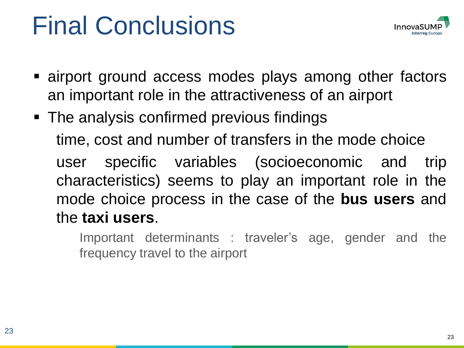## Final Conclusions



- **E** airport ground access modes plays among other factors an important role in the attractiveness of an airport
- The analysis confirmed previous findings time, cost and number of transfers in the mode choice user specific variables (socioeconomic and trip characteristics) seems to play an important role in the mode choice process in the case of the **bus users** and the **taxi users**.

Important determinants : traveler's age, gender and the frequency travel to the airport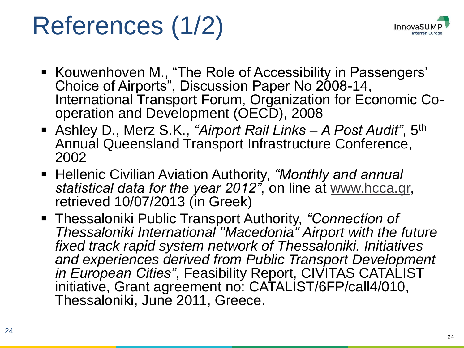# References (1/2)



- Kouwenhoven M., "The Role of Accessibility in Passengers' Choice of Airports", Discussion Paper No 2008-14, International Transport Forum, Organization for Economic Cooperation and Development (OECD), 2008
- Ashley D., Merz S.K., *"Airport Rail Links – A Post Audit"*, 5th Annual Queensland Transport Infrastructure Conference, 2002
- Hellenic Civilian Aviation Authority, *"Monthly and annual statistical data for the year 2012"*, on line at [www.hcca.gr,](http://www.hcca.gr/) retrieved 10/07/2013 (in Greek)
- Thessaloniki Public Transport Authority, *"Connection of Thessaloniki International "Macedonia" Airport with the future fixed track rapid system network of Thessaloniki. Initiatives and experiences derived from Public Transport Development in European Cities"*, Feasibility Report, CIVITAS CATALIST initiative, Grant agreement no: CATALIST/6FP/call4/010, Thessaloniki, June 2011, Greece.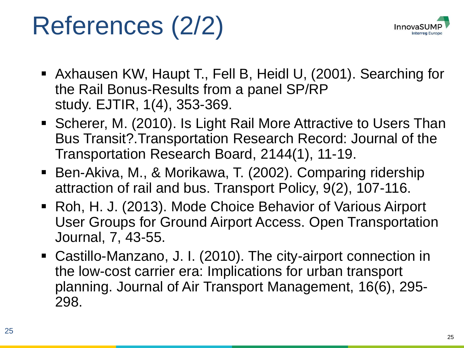## References (2/2)



- Axhausen KW, Haupt T., Fell B, Heidl U, (2001). Searching for the Rail Bonus-Results from a panel SP/RP study. EJTIR, 1(4), 353-369.
- Scherer, M. (2010). Is Light Rail More Attractive to Users Than Bus Transit?.Transportation Research Record: Journal of the Transportation Research Board, 2144(1), 11-19.
- Ben-Akiva, M., & Morikawa, T. (2002). Comparing ridership attraction of rail and bus. Transport Policy, 9(2), 107-116.
- Roh, H. J. (2013). Mode Choice Behavior of Various Airport User Groups for Ground Airport Access. Open Transportation Journal, 7, 43-55.
- Castillo-Manzano, J. I. (2010). The city-airport connection in the low-cost carrier era: Implications for urban transport planning. Journal of Air Transport Management, 16(6), 295- 298.